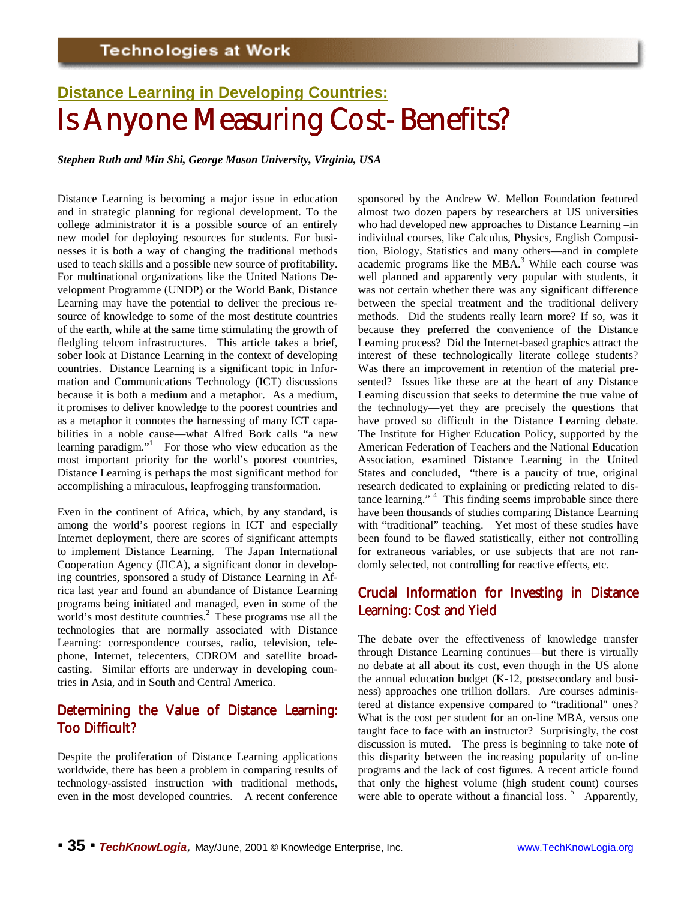# **Distance Learning in Developing Countries:** Is Anyone Measuring Cost-Benefits?

*Stephen Ruth and Min Shi, George Mason University, Virginia, USA*

Distance Learning is becoming a major issue in education and in strategic planning for regional development. To the college administrator it is a possible source of an entirely new model for deploying resources for students. For businesses it is both a way of changing the traditional methods used to teach skills and a possible new source of profitability. For multinational organizations like the United Nations Development Programme (UNDP) or the World Bank, Distance Learning may have the potential to deliver the precious resource of knowledge to some of the most destitute countries of the earth, while at the same time stimulating the growth of fledgling telcom infrastructures. This article takes a brief, sober look at Distance Learning in the context of developing countries. Distance Learning is a significant topic in Information and Communications Technology (ICT) discussions because it is both a medium and a metaphor. As a medium, it promises to deliver knowledge to the poorest countries and as a metaphor it connotes the harnessing of many ICT capabilities in a noble cause—what Alfred Bork calls "a new learning paradigm." For those who view education as the most important priority for the world's poorest countries, Distance Learning is perhaps the most significant method for accomplishing a miraculous, leapfrogging transformation.

Even in the continent of Africa, which, by any standard, is among the world's poorest regions in ICT and especially Internet deployment, there are scores of significant attempts to implement Distance Learning. The Japan International Cooperation Agency (JICA), a significant donor in developing countries, sponsored a study of Distance Learning in Africa last year and found an abundance of Distance Learning programs being initiated and managed, even in some of the world's most destitute countries.<sup>2</sup> These programs use all the technologies that are normally associated with Distance Learning: correspondence courses, radio, television, telephone, Internet, telecenters, CDROM and satellite broadcasting. Similar efforts are underway in developing countries in Asia, and in South and Central America.

### Determining the Value of Distance Learning: Too Difficult?

Despite the proliferation of Distance Learning applications worldwide, there has been a problem in comparing results of technology-assisted instruction with traditional methods, even in the most developed countries. A recent conference sponsored by the Andrew W. Mellon Foundation featured almost two dozen papers by researchers at US universities who had developed new approaches to Distance Learning –in individual courses, like Calculus, Physics, English Composition, Biology, Statistics and many others—and in complete academic programs like the MBA. $3$  While each course was well planned and apparently very popular with students, it was not certain whether there was any significant difference between the special treatment and the traditional delivery methods. Did the students really learn more? If so, was it because they preferred the convenience of the Distance Learning process? Did the Internet-based graphics attract the interest of these technologically literate college students? Was there an improvement in retention of the material presented? Issues like these are at the heart of any Distance Learning discussion that seeks to determine the true value of the technology—yet they are precisely the questions that have proved so difficult in the Distance Learning debate. The Institute for Higher Education Policy, supported by the American Federation of Teachers and the National Education Association, examined Distance Learning in the United States and concluded, "there is a paucity of true, original research dedicated to explaining or predicting related to distance learning." <sup>4</sup> This finding seems improbable since there have been thousands of studies comparing Distance Learning with "traditional" teaching. Yet most of these studies have been found to be flawed statistically, either not controlling for extraneous variables, or use subjects that are not randomly selected, not controlling for reactive effects, etc.

## Crucial Information for Investing in Distance Learning: Cost and Yield

The debate over the effectiveness of knowledge transfer through Distance Learning continues—but there is virtually no debate at all about its cost, even though in the US alone the annual education budget (K-12, postsecondary and business) approaches one trillion dollars. Are courses administered at distance expensive compared to "traditional" ones? What is the cost per student for an on-line MBA, versus one taught face to face with an instructor? Surprisingly, the cost discussion is muted. The press is beginning to take note of this disparity between the increasing popularity of on-line programs and the lack of cost figures. A recent article found that only the highest volume (high student count) courses were able to operate without a financial loss.  $5$  Apparently,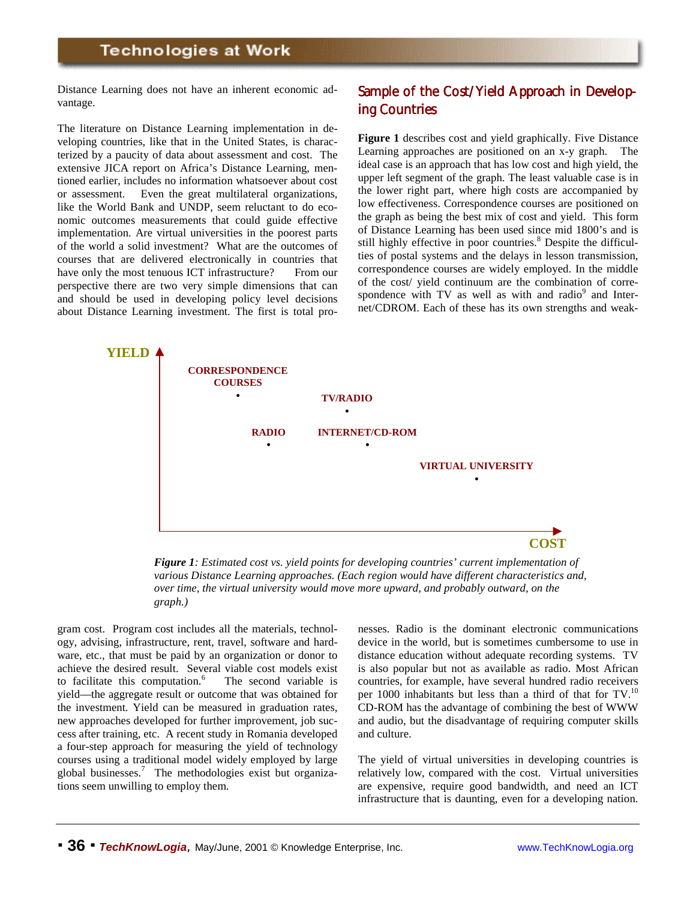Distance Learning does not have an inherent economic advantage.

The literature on Distance Learning implementation in developing countries, like that in the United States, is characterized by a paucity of data about assessment and cost. The extensive JICA report on Africa's Distance Learning, mentioned earlier, includes no information whatsoever about cost or assessment. Even the great multilateral organizations, like the World Bank and UNDP, seem reluctant to do economic outcomes measurements that could guide effective implementation. Are virtual universities in the poorest parts of the world a solid investment? What are the outcomes of courses that are delivered electronically in countries that have only the most tenuous ICT infrastructure? From our perspective there are two very simple dimensions that can and should be used in developing policy level decisions about Distance Learning investment. The first is total pro-

## Sample of the Cost/Yield Approach in Developing Countries

**Figure 1** describes cost and yield graphically. Five Distance Learning approaches are positioned on an x-y graph. The ideal case is an approach that has low cost and high yield, the upper left segment of the graph. The least valuable case is in the lower right part, where high costs are accompanied by low effectiveness. Correspondence courses are positioned on the graph as being the best mix of cost and yield. This form of Distance Learning has been used since mid 1800's and is still highly effective in poor countries.<sup>8</sup> Despite the difficulties of postal systems and the delays in lesson transmission, correspondence courses are widely employed. In the middle of the cost/ yield continuum are the combination of correspondence with  $TV$  as well as with and radio $9$  and Internet/CDROM. Each of these has its own strengths and weak-



*Figure 1: Estimated cost vs. yield points for developing countries' current implementation of various Distance Learning approaches. (Each region would have different characteristics and, over time, the virtual university would move more upward, and probably outward, on the graph.)*

gram cost. Program cost includes all the materials, technology, advising, infrastructure, rent, travel, software and hardware, etc., that must be paid by an organization or donor to achieve the desired result. Several viable cost models exist to facilitate this computation.<sup>6</sup> The second variable is yield—the aggregate result or outcome that was obtained for the investment. Yield can be measured in graduation rates, new approaches developed for further improvement, job success after training, etc. A recent study in Romania developed a four-step approach for measuring the yield of technology courses using a traditional model widely employed by large global businesses.<sup>7</sup> The methodologies exist but organizations seem unwilling to employ them.

nesses. Radio is the dominant electronic communications device in the world, but is sometimes cumbersome to use in distance education without adequate recording systems. TV is also popular but not as available as radio. Most African countries, for example, have several hundred radio receivers per 1000 inhabitants but less than a third of that for TV.<sup>10</sup> CD-ROM has the advantage of combining the best of WWW and audio, but the disadvantage of requiring computer skills and culture.

The yield of virtual universities in developing countries is relatively low, compared with the cost. Virtual universities are expensive, require good bandwidth, and need an ICT infrastructure that is daunting, even for a developing nation.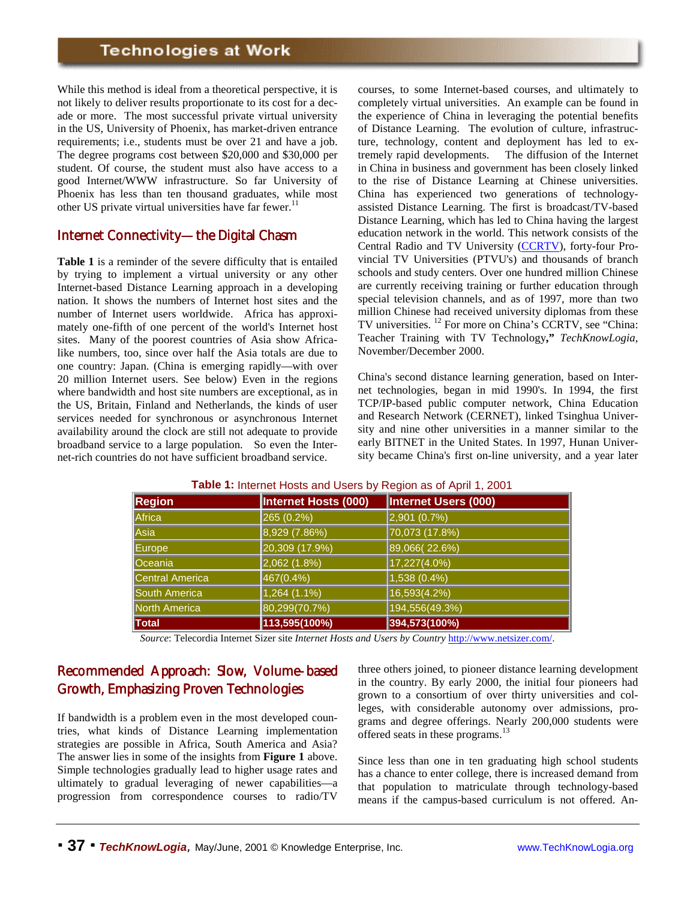While this method is ideal from a theoretical perspective, it is not likely to deliver results proportionate to its cost for a decade or more. The most successful private virtual university in the US, University of Phoenix, has market-driven entrance requirements; i.e., students must be over 21 and have a job. The degree programs cost between \$20,000 and \$30,000 per student. Of course, the student must also have access to a good Internet/WWW infrastructure. So far University of Phoenix has less than ten thousand graduates, while most other US private virtual universities have far fewer.<sup>11</sup>

#### Internet Connectivity—the Digital Chasm

**Table 1** is a reminder of the severe difficulty that is entailed by trying to implement a virtual university or any other Internet-based Distance Learning approach in a developing nation. It shows the numbers of Internet host sites and the number of Internet users worldwide. Africa has approximately one-fifth of one percent of the world's Internet host sites. Many of the poorest countries of Asia show Africalike numbers, too, since over half the Asia totals are due to one country: Japan. (China is emerging rapidly—with over 20 million Internet users. See below) Even in the regions where bandwidth and host site numbers are exceptional, as in the US, Britain, Finland and Netherlands, the kinds of user services needed for synchronous or asynchronous Internet availability around the clock are still not adequate to provide broadband service to a large population. So even the Internet-rich countries do not have sufficient broadband service.

courses, to some Internet-based courses, and ultimately to completely virtual universities. An example can be found in the experience of China in leveraging the potential benefits of Distance Learning. The evolution of culture, infrastructure, technology, content and deployment has led to extremely rapid developments. The diffusion of the Internet in China in business and government has been closely linked to the rise of Distance Learning at Chinese universities. China has experienced two generations of technologyassisted Distance Learning. The first is broadcast/TV-based Distance Learning, which has led to China having the largest education network in the world. This network consists of the Central Radio and TV University (CCRTV), forty-four Provincial TV Universities (PTVU's) and thousands of branch schools and study centers. Over one hundred million Chinese are currently receiving training or further education through special television channels, and as of 1997, more than two million Chinese had received university diplomas from these TV universities. 12 For more on China's CCRTV, see "China: Teacher Training with TV Technology**,"** *TechKnowLogia,* November/December 2000.

China's second distance learning generation, based on Internet technologies, began in mid 1990's. In 1994, the first TCP/IP-based public computer network, China Education and Research Network (CERNET), linked Tsinghua University and nine other universities in a manner similar to the early BITNET in the United States. In 1997, Hunan University became China's first on-line university, and a year later

| <b>Region</b>          | Internet Hosts (000) | Internet Users (000) |
|------------------------|----------------------|----------------------|
| Africa                 | 265 (0.2%)           | 2,901 (0.7%)         |
| Asia                   | 8,929 (7.86%)        | 70,073 (17.8%)       |
| Europe                 | 20,309 (17.9%)       | 89,066(22.6%)        |
| Oceania                | 2,062 (1.8%)         | 17,227(4.0%)         |
| <b>Central America</b> | 467(0.4%)            | 1,538 (0.4%)         |
| South America          | 1,264 (1.1%)         | 16,593(4.2%)         |
| <b>North America</b>   | 80,299(70.7%)        | 194,556(49.3%)       |
| Total                  | 113,595(100%)        | 394,573(100%)        |

**Table 1:** Internet Hosts and Users by Region as of April 1, 2001

*Source*: Telecordia Internet Sizer site *Internet Hosts and Users by Country* http://www.netsizer.com/.

## Recommended Approach: Slow, Volume-based Growth, Emphasizing Proven Technologies

If bandwidth is a problem even in the most developed countries, what kinds of Distance Learning implementation strategies are possible in Africa, South America and Asia? The answer lies in some of the insights from **Figure 1** above. Simple technologies gradually lead to higher usage rates and ultimately to gradual leveraging of newer capabilities—a progression from correspondence courses to radio/TV

three others joined, to pioneer distance learning development in the country. By early 2000, the initial four pioneers had grown to a consortium of over thirty universities and colleges, with considerable autonomy over admissions, programs and degree offerings. Nearly 200,000 students were offered seats in these programs.<sup>13</sup>

Since less than one in ten graduating high school students has a chance to enter college, there is increased demand from that population to matriculate through technology-based means if the campus-based curriculum is not offered. An